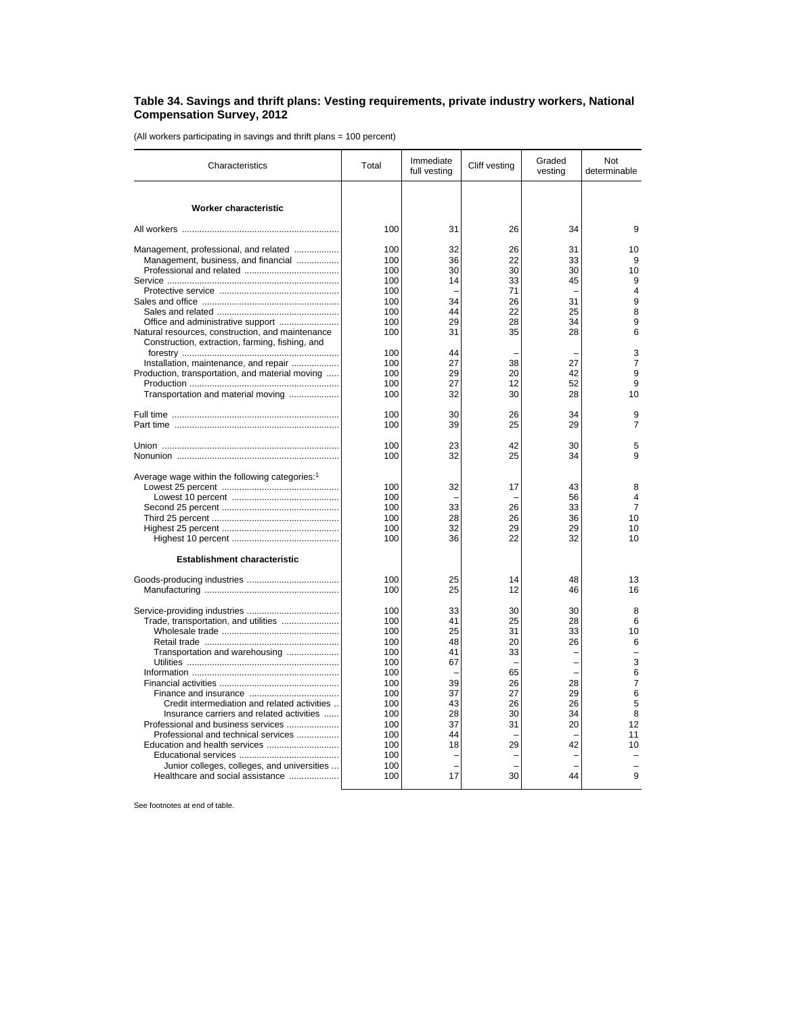## **Table 34. Savings and thrift plans: Vesting requirements, private industry workers, National Compensation Survey, 2012**

(All workers participating in savings and thrift plans = 100 percent)

| Characteristics                                            | Total      | Immediate<br>full vesting | Cliff vesting | Graded<br>vesting | Not<br>determinable |
|------------------------------------------------------------|------------|---------------------------|---------------|-------------------|---------------------|
| Worker characteristic                                      |            |                           |               |                   |                     |
|                                                            | 100        | 31                        | 26            | 34                | 9                   |
|                                                            |            |                           |               |                   |                     |
| Management, professional, and related                      | 100<br>100 | 32<br>36                  | 26<br>22      | 31<br>33          | 10<br>9             |
| Management, business, and financial                        | 100        | 30                        | 30            | 30                | 10                  |
|                                                            | 100        | 14                        | 33            | 45                | 9                   |
|                                                            | 100        |                           | 71            |                   | 4                   |
|                                                            | 100        | 34                        | 26            | 31                | 9                   |
|                                                            | 100        | 44                        | 22            | 25                | 8                   |
| Office and administrative support                          | 100        | 29                        | 28            | 34                | 9                   |
| Natural resources, construction, and maintenance           | 100        | 31                        | 35            | 28                | 6                   |
| Construction, extraction, farming, fishing, and            |            |                           |               |                   |                     |
|                                                            | 100        | 44                        |               |                   | 3                   |
| Installation, maintenance, and repair                      | 100        | 27                        | 38            | 27                | $\overline{7}$      |
| Production, transportation, and material moving            | 100        | 29                        | 20            | 42                | 9                   |
|                                                            | 100        | 27                        | 12            | 52                | 9                   |
| Transportation and material moving                         | 100        | 32                        | 30            | 28                | 10                  |
|                                                            | 100        | 30                        | 26            | 34                | 9                   |
|                                                            | 100        | 39                        | 25            | 29                | $\overline{7}$      |
|                                                            | 100        | 23                        | 42            | 30                | 5                   |
|                                                            | 100        | 32                        | 25            | 34                | 9                   |
| Average wage within the following categories: <sup>1</sup> |            |                           |               |                   |                     |
|                                                            | 100        | 32                        | 17            | 43                | 8                   |
|                                                            | 100        |                           |               | 56                | 4                   |
|                                                            | 100        | 33                        | 26            | 33                | $\overline{7}$      |
|                                                            | 100        | 28                        | 26            | 36                | 10                  |
|                                                            | 100        | 32                        | 29            | 29                | 10                  |
|                                                            | 100        | 36                        | 22            | 32                | 10                  |
| <b>Establishment characteristic</b>                        |            |                           |               |                   |                     |
|                                                            | 100        | 25                        | 14            | 48                | 13                  |
|                                                            | 100        | 25                        | 12            | 46                | 16                  |
|                                                            | 100        | 33                        | 30            | 30                | 8                   |
| Trade, transportation, and utilities                       | 100        | 41                        | 25            | 28                | 6                   |
|                                                            | 100        | 25                        | 31            | 33                | 10                  |
|                                                            | 100        | 48                        | 20            | 26                | 6                   |
| Transportation and warehousing                             | 100        | 41                        | 33            |                   |                     |
|                                                            | 100        | 67                        |               |                   | 3                   |
|                                                            | 100        |                           | 65            |                   | 6                   |
|                                                            | 100        | 39                        | 26            | 28                | $\overline{7}$      |
|                                                            | 100        | 37                        | 27            | 29                | 6                   |
| Credit intermediation and related activities               | 100        | 43                        | 26            | 26                | 5                   |
| Insurance carriers and related activities                  | 100        | 28                        | 30            | 34                | 8                   |
| Professional and business services                         | 100        | 37                        | 31            | 20                | 12                  |
| Professional and technical services                        | 100        | 44                        |               |                   | 11                  |
|                                                            | 100        | 18                        | 29            | 42                | 10                  |
|                                                            | 100        |                           |               |                   |                     |
| Junior colleges, colleges, and universities                | 100        |                           |               |                   |                     |
| Healthcare and social assistance                           | 100        | 17                        | 30            | 44                | 9                   |

See footnotes at end of table.